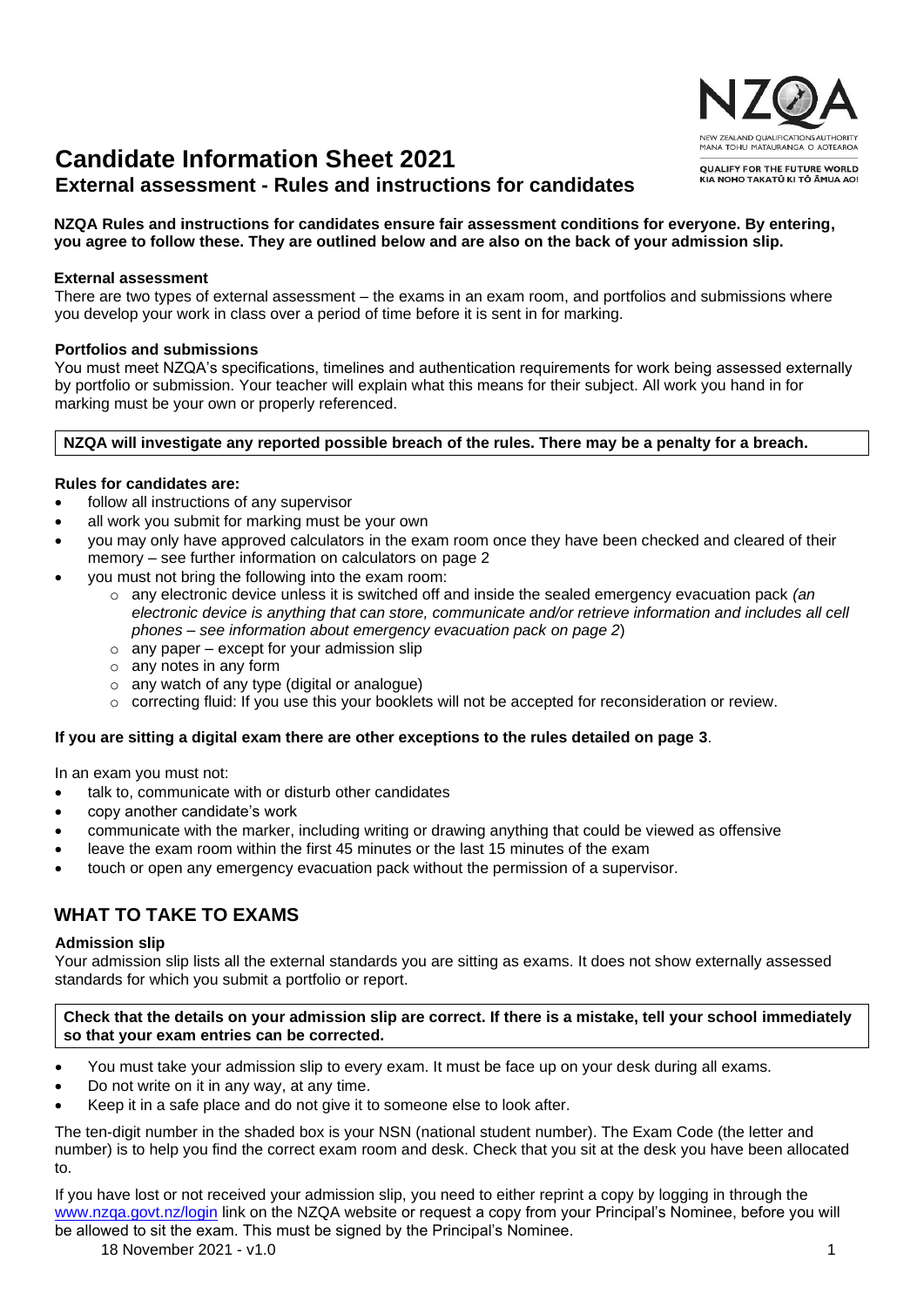# **Candidate Information Sheet 2021**

# **External assessment - Rules and instructions for candidates**

# **NZQA Rules and instructions for candidates ensure fair assessment conditions for everyone. By entering, you agree to follow these. They are outlined below and are also on the back of your admission slip.**

## **External assessment**

There are two types of external assessment – the exams in an exam room, and portfolios and submissions where you develop your work in class over a period of time before it is sent in for marking.

## **Portfolios and submissions**

You must meet NZQA's specifications, timelines and authentication requirements for work being assessed externally by portfolio or submission. Your teacher will explain what this means for their subject. All work you hand in for marking must be your own or properly referenced.

## **NZQA will investigate any reported possible breach of the rules. There may be a penalty for a breach.**

## **Rules for candidates are:**

- follow all instructions of any supervisor
- all work you submit for marking must be your own
- you may only have approved calculators in the exam room once they have been checked and cleared of their memory – see further information on calculators on page 2
- you must not bring the following into the exam room:
	- o any electronic device unless it is switched off and inside the sealed emergency evacuation pack *(an electronic device is anything that can store, communicate and/or retrieve information and includes all cell phones – see information about emergency evacuation pack on page 2*)
	- $\circ$  any paper except for your admission slip
	- o any notes in any form
	- $\circ$  any watch of any type (digital or analogue)
	- o correcting fluid: If you use this your booklets will not be accepted for reconsideration or review.

## **If you are sitting a digital exam there are other exceptions to the rules detailed on page 3**.

In an exam you must not:

- talk to, communicate with or disturb other candidates
- copy another candidate's work
- communicate with the marker, including writing or drawing anything that could be viewed as offensive
- leave the exam room within the first 45 minutes or the last 15 minutes of the exam
- touch or open any emergency evacuation pack without the permission of a supervisor.

# **WHAT TO TAKE TO EXAMS**

#### **Admission slip**

Your admission slip lists all the external standards you are sitting as exams. It does not show externally assessed standards for which you submit a portfolio or report.

#### **Check that the details on your admission slip are correct. If there is a mistake, tell your school immediately so that your exam entries can be corrected.**

- You must take your admission slip to every exam. It must be face up on your desk during all exams.
- Do not write on it in any way, at any time.
- Keep it in a safe place and do not give it to someone else to look after.

The ten-digit number in the shaded box is your NSN (national student number). The Exam Code (the letter and number) is to help you find the correct exam room and desk. Check that you sit at the desk you have been allocated to.

If you have lost or not received your admission slip, you need to either reprint a copy by logging in through the [www.nzqa.govt.nz/login](https://www.nzqa.govt.nz/login) link on the NZQA website or request a copy from your Principal's Nominee, before you will be allowed to sit the exam. This must be signed by the Principal's Nominee.

18 November 2021 - v1.0 1

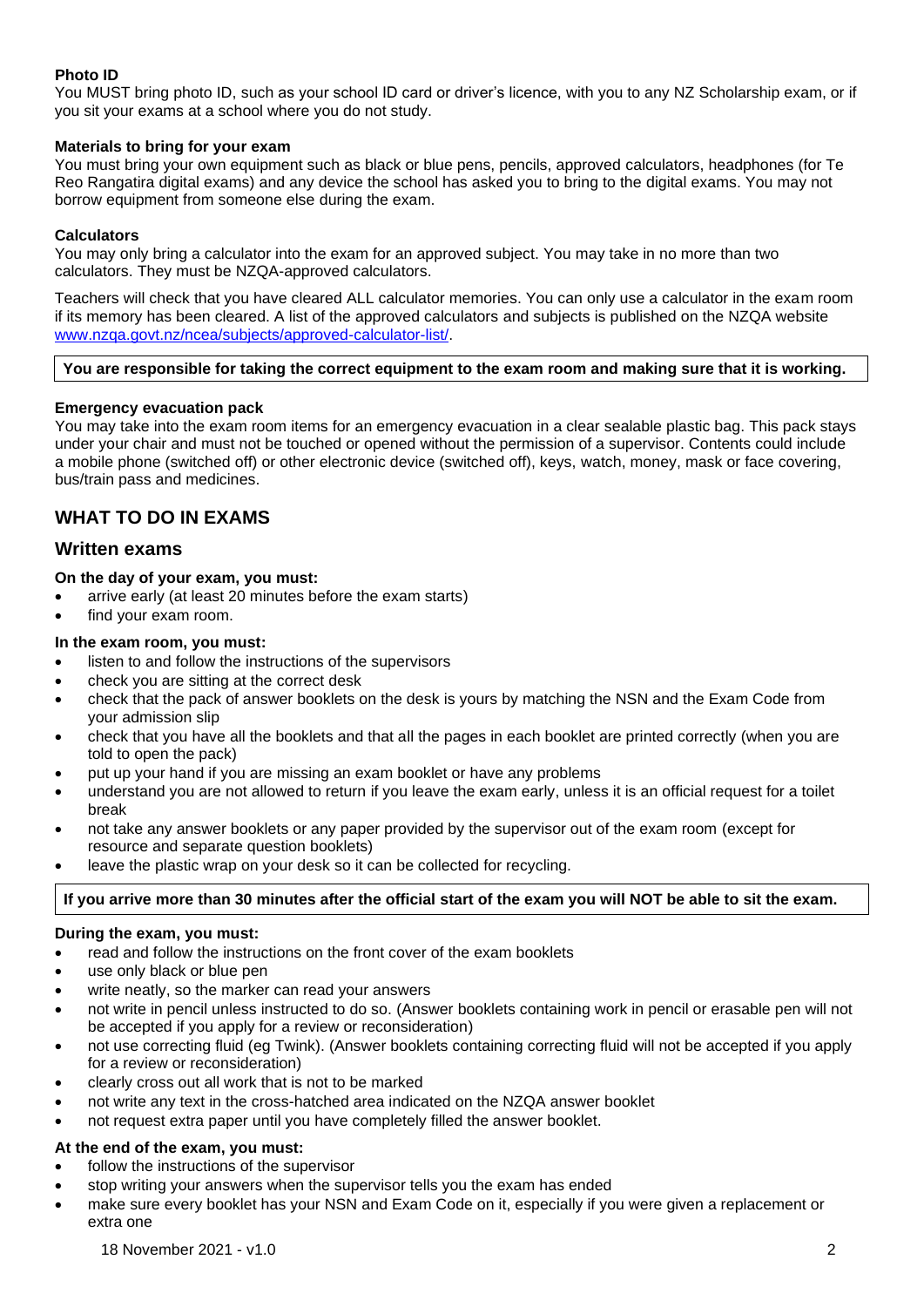# **Photo ID**

You MUST bring photo ID, such as your school ID card or driver's licence, with you to any NZ Scholarship exam, or if you sit your exams at a school where you do not study.

### **Materials to bring for your exam**

You must bring your own equipment such as black or blue pens, pencils, approved calculators, headphones (for Te Reo Rangatira digital exams) and any device the school has asked you to bring to the digital exams. You may not borrow equipment from someone else during the exam.

## **Calculators**

You may only bring a calculator into the exam for an approved subject. You may take in no more than two calculators. They must be NZQA-approved calculators.

Teachers will check that you have cleared ALL calculator memories. You can only use a calculator in the exam room if its memory has been cleared. A list of the approved calculators and subjects is published on the NZQA website [www.nzqa.govt.nz/ncea/subjects/approved-calculator-list/.](https://www.nzqa.govt.nz/ncea/subjects/approved-calculator-list/)

#### **You are responsible for taking the correct equipment to the exam room and making sure that it is working.**

#### **Emergency evacuation pack**

You may take into the exam room items for an emergency evacuation in a clear sealable plastic bag. This pack stays under your chair and must not be touched or opened without the permission of a supervisor. Contents could include a mobile phone (switched off) or other electronic device (switched off), keys, watch, money, mask or face covering, bus/train pass and medicines.

# **WHAT TO DO IN EXAMS**

## **Written exams**

#### **On the day of your exam, you must:**

- arrive early (at least 20 minutes before the exam starts)
- find your exam room.
- **In the exam room, you must:**
- listen to and follow the instructions of the supervisors
- check you are sitting at the correct desk
- check that the pack of answer booklets on the desk is yours by matching the NSN and the Exam Code from your admission slip
- check that you have all the booklets and that all the pages in each booklet are printed correctly (when you are told to open the pack)
- put up your hand if you are missing an exam booklet or have any problems
- understand you are not allowed to return if you leave the exam early, unless it is an official request for a toilet break
- not take any answer booklets or any paper provided by the supervisor out of the exam room (except for resource and separate question booklets)
- leave the plastic wrap on your desk so it can be collected for recycling.

#### **If you arrive more than 30 minutes after the official start of the exam you will NOT be able to sit the exam.**

#### **During the exam, you must:**

- read and follow the instructions on the front cover of the exam booklets
- use only black or blue pen
- write neatly, so the marker can read your answers
- not write in pencil unless instructed to do so. (Answer booklets containing work in pencil or erasable pen will not be accepted if you apply for a review or reconsideration)
- not use correcting fluid (eg Twink). (Answer booklets containing correcting fluid will not be accepted if you apply for a review or reconsideration)
- clearly cross out all work that is not to be marked
- not write any text in the cross-hatched area indicated on the NZQA answer booklet
- not request extra paper until you have completely filled the answer booklet.

## **At the end of the exam, you must:**

- follow the instructions of the supervisor
- stop writing your answers when the supervisor tells you the exam has ended
- make sure every booklet has your NSN and Exam Code on it, especially if you were given a replacement or extra one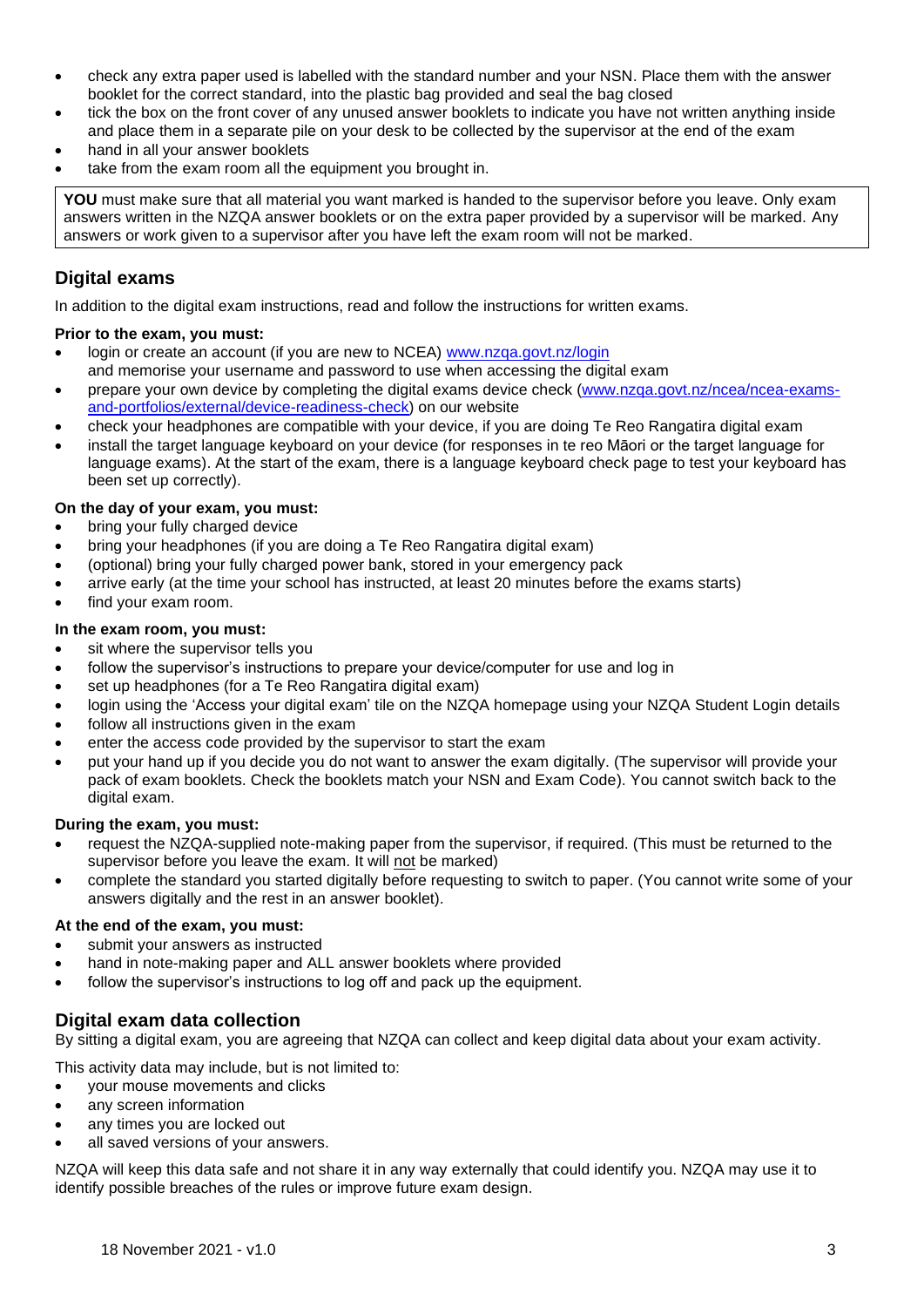- check any extra paper used is labelled with the standard number and your NSN. Place them with the answer booklet for the correct standard, into the plastic bag provided and seal the bag closed
- tick the box on the front cover of any unused answer booklets to indicate you have not written anything inside and place them in a separate pile on your desk to be collected by the supervisor at the end of the exam
- hand in all your answer booklets
- take from the exam room all the equipment you brought in.

**YOU** must make sure that all material you want marked is handed to the supervisor before you leave. Only exam answers written in the NZQA answer booklets or on the extra paper provided by a supervisor will be marked. Any answers or work given to a supervisor after you have left the exam room will not be marked.

# **Digital exams**

In addition to the digital exam instructions, read and follow the instructions for written exams.

## **Prior to the exam, you must:**

- login or create an account (if you are new to NCEA) [www.nzqa.govt.nz/login](https://www.nzqa.govt.nz/login) and memorise your username and password to use when accessing the digital exam
- prepare your own device by completing the digital exams device check [\(www.nzqa.govt.nz/ncea/ncea-exams](https://www.nzqa.govt.nz/ncea/ncea-exams-and-portfolios/external/device-readiness-check)[and-portfolios/external/device-readiness-check\)](https://www.nzqa.govt.nz/ncea/ncea-exams-and-portfolios/external/device-readiness-check) on our website
- check your headphones are compatible with your device, if you are doing Te Reo Rangatira digital exam
- install the target language keyboard on your device (for responses in te reo Māori or the target language for language exams). At the start of the exam, there is a language keyboard check page to test your keyboard has been set up correctly).

## **On the day of your exam, you must:**

- bring your fully charged device
- bring your headphones (if you are doing a Te Reo Rangatira digital exam)
- (optional) bring your fully charged power bank, stored in your emergency pack
- arrive early (at the time your school has instructed, at least 20 minutes before the exams starts)
- find your exam room.

#### **In the exam room, you must:**

- sit where the supervisor tells you
- follow the supervisor's instructions to prepare your device/computer for use and log in
- set up headphones (for a Te Reo Rangatira digital exam)
- login using the 'Access your digital exam' tile on the NZQA homepage using your NZQA Student Login details
- follow all instructions given in the exam
- enter the access code provided by the supervisor to start the exam
- put your hand up if you decide you do not want to answer the exam digitally. (The supervisor will provide your pack of exam booklets. Check the booklets match your NSN and Exam Code). You cannot switch back to the digital exam.

#### **During the exam, you must:**

- request the NZQA-supplied note-making paper from the supervisor, if required. (This must be returned to the supervisor before you leave the exam. It will not be marked)
- complete the standard you started digitally before requesting to switch to paper. (You cannot write some of your answers digitally and the rest in an answer booklet).

## **At the end of the exam, you must:**

- submit your answers as instructed
- hand in note-making paper and ALL answer booklets where provided
- follow the supervisor's instructions to log off and pack up the equipment.

# **Digital exam data collection**

By sitting a digital exam, you are agreeing that NZQA can collect and keep digital data about your exam activity.

This activity data may include, but is not limited to:

- your mouse movements and clicks
- any screen information
- any times you are locked out
- all saved versions of your answers.

NZQA will keep this data safe and not share it in any way externally that could identify you. NZQA may use it to identify possible breaches of the rules or improve future exam design.